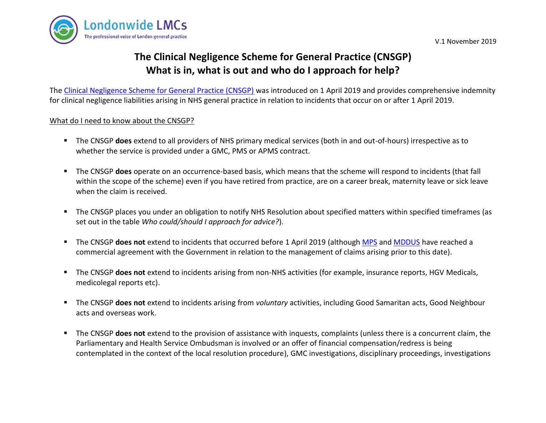



# **The Clinical Negligence Scheme for General Practice (CNSGP) What is in, what is out and who do I approach for help?**

The [Clinical Negligence Scheme for General Practice \(CNSGP\)](https://resolution.nhs.uk/services/claims-management/clinical-schemes/clinical-negligence-scheme-for-general-practice/) was introduced on 1 April 2019 and provides comprehensive indemnity for clinical negligence liabilities arising in NHS general practice in relation to incidents that occur on or after 1 April 2019.

#### What do I need to know about the CNSGP?

- The CNSGP **does** extend to all providers of NHS primary medical services (both in and out-of-hours) irrespective as to whether the service is provided under a GMC, PMS or APMS contract.
- The CNSGP **does** operate on an occurrence-based basis, which means that the scheme will respond to incidents (that fall within the scope of the scheme) even if you have retired from practice, are on a career break, maternity leave or sick leave when the claim is received.
- The CNSGP places you under an obligation to notify NHS Resolution about specified matters within specified timeframes (as set out in the table *Who could/should I approach for advice?*).
- The CNSGP **does not** extend to incidents that occurred before 1 April 2019 (although [MPS](https://www.parliament.uk/business/publications/written-questions-answers-statements/written-statement/Commons/2019-04-01/HCWS1470/) and [MDDUS](https://www.parliament.uk/business/publications/written-questions-answers-statements/written-statement/Commons/2019-04-01/HCWS1470/) have reached a commercial agreement with the Government in relation to the management of claims arising prior to this date).
- The CNSGP **does not** extend to incidents arising from non-NHS activities (for example, insurance reports, HGV Medicals, medicolegal reports etc).
- The CNSGP **does not** extend to incidents arising from *voluntary* activities, including Good Samaritan acts, Good Neighbour acts and overseas work.
- The CNSGP **does not** extend to the provision of assistance with inquests, complaints (unless there is a concurrent claim, the Parliamentary and Health Service Ombudsman is involved or an offer of financial compensation/redress is being contemplated in the context of the local resolution procedure), GMC investigations, disciplinary proceedings, investigations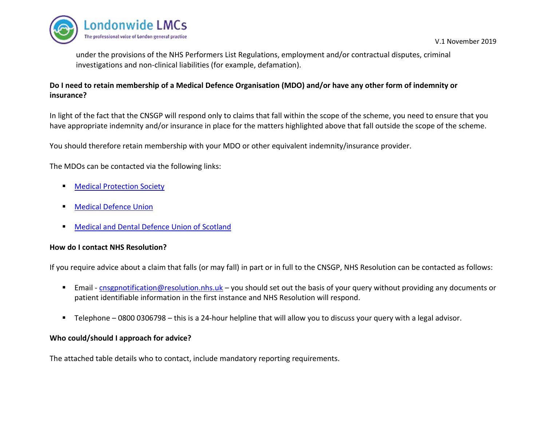

under the provisions of the NHS Performers List Regulations, employment and/or contractual disputes, criminal investigations and non-clinical liabilities (for example, defamation).

## **Do I need to retain membership of a Medical Defence Organisation (MDO) and/or have any other form of indemnity or insurance?**

In light of the fact that the CNSGP will respond only to claims that fall within the scope of the scheme, you need to ensure that you have appropriate indemnity and/or insurance in place for the matters highlighted above that fall outside the scope of the scheme.

You should therefore retain membership with your MDO or other equivalent indemnity/insurance provider.

The MDOs can be contacted via the following links:

- [Medical Protection Society](https://www.medicalprotection.org/uk/contact)
- [Medical Defence Union](https://www.themdu.com/about-mdu/contact-us)
- [Medical and Dental Defence Union of Scotland](https://www.mddus.com/contact-us)

### **How do I contact NHS Resolution?**

If you require advice about a claim that falls (or may fall) in part or in full to the CNSGP, NHS Resolution can be contacted as follows:

- Email [cnsgpnotification@resolution.nhs.uk](mailto:cnsgpnotification@resolution.nhs.uk) you should set out the basis of your query without providing any documents or patient identifiable information in the first instance and NHS Resolution will respond.
- Telephone 0800 0306798 this is a 24-hour helpline that will allow you to discuss your query with a legal advisor.

#### **Who could/should I approach for advice?**

The attached table details who to contact, include mandatory reporting requirements.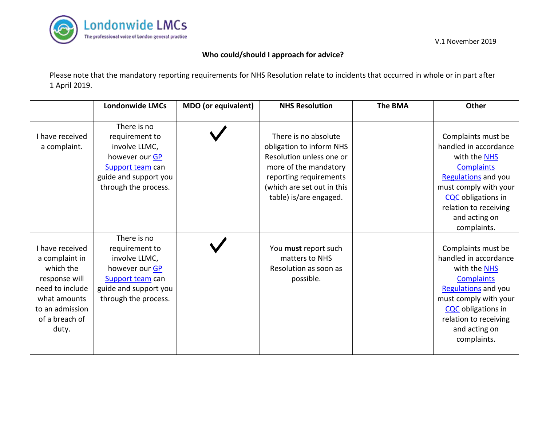

## **Who could/should I approach for advice?**

Please note that the mandatory reporting requirements for NHS Resolution relate to incidents that occurred in whole or in part after 1 April 2019.

|                                                                                                                                                  | <b>Londonwide LMCs</b>                                                                                                                | <b>MDO</b> (or equivalent) | <b>NHS Resolution</b>                                                                                                                                                                   | <b>The BMA</b> | Other                                                                                                                                                                                                                  |
|--------------------------------------------------------------------------------------------------------------------------------------------------|---------------------------------------------------------------------------------------------------------------------------------------|----------------------------|-----------------------------------------------------------------------------------------------------------------------------------------------------------------------------------------|----------------|------------------------------------------------------------------------------------------------------------------------------------------------------------------------------------------------------------------------|
| I have received<br>a complaint.                                                                                                                  | There is no<br>requirement to<br>involve LLMC,<br>however our GP<br>Support team can<br>guide and support you<br>through the process. |                            | There is no absolute<br>obligation to inform NHS<br>Resolution unless one or<br>more of the mandatory<br>reporting requirements<br>(which are set out in this<br>table) is/are engaged. |                | Complaints must be<br>handled in accordance<br>with the <b>NHS</b><br><b>Complaints</b><br>Regulations and you<br>must comply with your<br>CQC obligations in<br>relation to receiving<br>and acting on<br>complaints. |
| I have received<br>a complaint in<br>which the<br>response will<br>need to include<br>what amounts<br>to an admission<br>of a breach of<br>duty. | There is no<br>requirement to<br>involve LLMC,<br>however our GP<br>Support team can<br>guide and support you<br>through the process. |                            | You must report such<br>matters to NHS<br>Resolution as soon as<br>possible.                                                                                                            |                | Complaints must be<br>handled in accordance<br>with the <b>NHS</b><br><b>Complaints</b><br>Regulations and you<br>must comply with your<br>CQC obligations in<br>relation to receiving<br>and acting on<br>complaints. |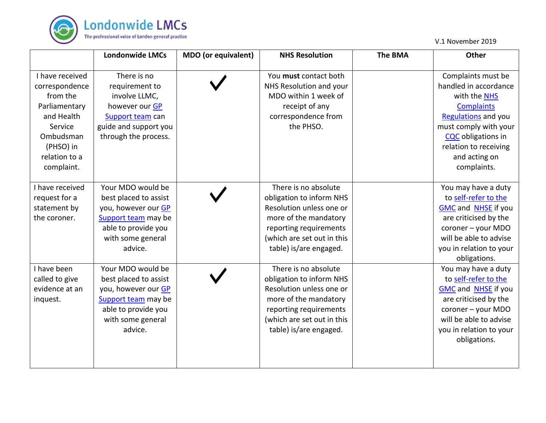

|                                                                                                                                                  | <b>Londonwide LMCs</b>                                                                                                                          | <b>MDO</b> (or equivalent) | <b>NHS Resolution</b>                                                                                                                                                                   | <b>The BMA</b> | Other                                                                                                                                                                                                                         |
|--------------------------------------------------------------------------------------------------------------------------------------------------|-------------------------------------------------------------------------------------------------------------------------------------------------|----------------------------|-----------------------------------------------------------------------------------------------------------------------------------------------------------------------------------------|----------------|-------------------------------------------------------------------------------------------------------------------------------------------------------------------------------------------------------------------------------|
| I have received<br>correspondence<br>from the<br>Parliamentary<br>and Health<br>Service<br>Ombudsman<br>(PHSO) in<br>relation to a<br>complaint. | There is no<br>requirement to<br>involve LLMC,<br>however our GP<br>Support team can<br>guide and support you<br>through the process.           |                            | You must contact both<br>NHS Resolution and your<br>MDO within 1 week of<br>receipt of any<br>correspondence from<br>the PHSO.                                                          |                | Complaints must be<br>handled in accordance<br>with the NHS<br><b>Complaints</b><br><b>Regulations</b> and you<br>must comply with your<br><b>CQC</b> obligations in<br>relation to receiving<br>and acting on<br>complaints. |
| I have received<br>request for a<br>statement by<br>the coroner.                                                                                 | Your MDO would be<br>best placed to assist<br>you, however our GP<br>Support team may be<br>able to provide you<br>with some general<br>advice. |                            | There is no absolute<br>obligation to inform NHS<br>Resolution unless one or<br>more of the mandatory<br>reporting requirements<br>(which are set out in this<br>table) is/are engaged. |                | You may have a duty<br>to self-refer to the<br><b>GMC</b> and <b>NHSE</b> if you<br>are criticised by the<br>coroner - your MDO<br>will be able to advise<br>you in relation to your<br>obligations.                          |
| I have been<br>called to give<br>evidence at an<br>inquest.                                                                                      | Your MDO would be<br>best placed to assist<br>you, however our GP<br>Support team may be<br>able to provide you<br>with some general<br>advice. |                            | There is no absolute<br>obligation to inform NHS<br>Resolution unless one or<br>more of the mandatory<br>reporting requirements<br>(which are set out in this<br>table) is/are engaged. |                | You may have a duty<br>to self-refer to the<br><b>GMC</b> and <b>NHSE</b> if you<br>are criticised by the<br>coroner - your MDO<br>will be able to advise<br>you in relation to your<br>obligations.                          |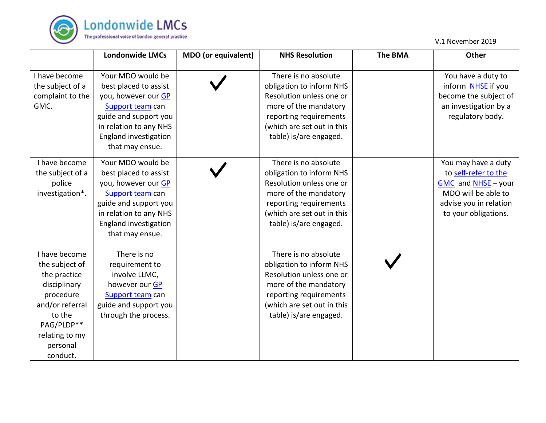

|                                                                                                                                                                   | <b>Londonwide LMCs</b>                                                                                                                                                               | <b>MDO</b> (or equivalent) | <b>NHS Resolution</b>                                                                                                                                                                   | <b>The BMA</b> | <b>Other</b>                                                                                                                                |
|-------------------------------------------------------------------------------------------------------------------------------------------------------------------|--------------------------------------------------------------------------------------------------------------------------------------------------------------------------------------|----------------------------|-----------------------------------------------------------------------------------------------------------------------------------------------------------------------------------------|----------------|---------------------------------------------------------------------------------------------------------------------------------------------|
| I have become<br>the subject of a<br>complaint to the<br>GMC.                                                                                                     | Your MDO would be<br>best placed to assist<br>you, however our GP<br>Support team can<br>guide and support you<br>in relation to any NHS<br>England investigation<br>that may ensue. |                            | There is no absolute<br>obligation to inform NHS<br>Resolution unless one or<br>more of the mandatory<br>reporting requirements<br>(which are set out in this<br>table) is/are engaged. |                | You have a duty to<br>inform NHSE if you<br>become the subject of<br>an investigation by a<br>regulatory body.                              |
| I have become<br>the subject of a<br>police<br>investigation*.                                                                                                    | Your MDO would be<br>best placed to assist<br>you, however our GP<br>Support team can<br>guide and support you<br>in relation to any NHS<br>England investigation<br>that may ensue. |                            | There is no absolute<br>obligation to inform NHS<br>Resolution unless one or<br>more of the mandatory<br>reporting requirements<br>(which are set out in this<br>table) is/are engaged. |                | You may have a duty<br>to self-refer to the<br>GMC and NHSE - your<br>MDO will be able to<br>advise you in relation<br>to your obligations. |
| I have become<br>the subject of<br>the practice<br>disciplinary<br>procedure<br>and/or referral<br>to the<br>PAG/PLDP**<br>relating to my<br>personal<br>conduct. | There is no<br>requirement to<br>involve LLMC,<br>however our GP<br>Support team can<br>guide and support you<br>through the process.                                                |                            | There is no absolute<br>obligation to inform NHS<br>Resolution unless one or<br>more of the mandatory<br>reporting requirements<br>(which are set out in this<br>table) is/are engaged. |                |                                                                                                                                             |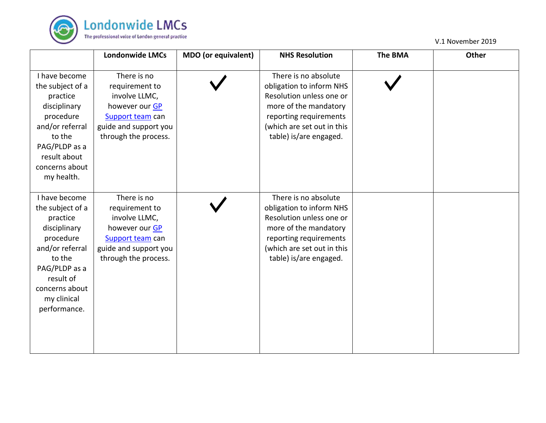

|                                                                                                                                                                                        | <b>Londonwide LMCs</b>                                                                                                                | MDO (or equivalent) | <b>NHS Resolution</b>                                                                                                                                                                   | <b>The BMA</b> | Other |
|----------------------------------------------------------------------------------------------------------------------------------------------------------------------------------------|---------------------------------------------------------------------------------------------------------------------------------------|---------------------|-----------------------------------------------------------------------------------------------------------------------------------------------------------------------------------------|----------------|-------|
| I have become<br>the subject of a<br>practice<br>disciplinary<br>procedure<br>and/or referral<br>to the<br>PAG/PLDP as a<br>result about<br>concerns about<br>my health.               | There is no<br>requirement to<br>involve LLMC,<br>however our GP<br>Support team can<br>guide and support you<br>through the process. |                     | There is no absolute<br>obligation to inform NHS<br>Resolution unless one or<br>more of the mandatory<br>reporting requirements<br>(which are set out in this<br>table) is/are engaged. |                |       |
| I have become<br>the subject of a<br>practice<br>disciplinary<br>procedure<br>and/or referral<br>to the<br>PAG/PLDP as a<br>result of<br>concerns about<br>my clinical<br>performance. | There is no<br>requirement to<br>involve LLMC,<br>however our GP<br>Support team can<br>guide and support you<br>through the process. |                     | There is no absolute<br>obligation to inform NHS<br>Resolution unless one or<br>more of the mandatory<br>reporting requirements<br>(which are set out in this<br>table) is/are engaged. |                |       |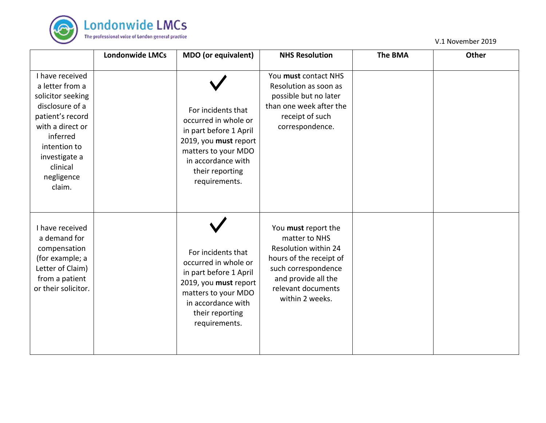

|                                                                                                                                                                                                     | <b>Londonwide LMCs</b> | MDO (or equivalent)                                                                                                                                                            | <b>NHS Resolution</b>                                                                                                                                                          | <b>The BMA</b> | <b>Other</b> |
|-----------------------------------------------------------------------------------------------------------------------------------------------------------------------------------------------------|------------------------|--------------------------------------------------------------------------------------------------------------------------------------------------------------------------------|--------------------------------------------------------------------------------------------------------------------------------------------------------------------------------|----------------|--------------|
| I have received<br>a letter from a<br>solicitor seeking<br>disclosure of a<br>patient's record<br>with a direct or<br>inferred<br>intention to<br>investigate a<br>clinical<br>negligence<br>claim. |                        | For incidents that<br>occurred in whole or<br>in part before 1 April<br>2019, you must report<br>matters to your MDO<br>in accordance with<br>their reporting<br>requirements. | You must contact NHS<br>Resolution as soon as<br>possible but no later<br>than one week after the<br>receipt of such<br>correspondence.                                        |                |              |
| I have received<br>a demand for<br>compensation<br>(for example; a<br>Letter of Claim)<br>from a patient<br>or their solicitor.                                                                     |                        | For incidents that<br>occurred in whole or<br>in part before 1 April<br>2019, you must report<br>matters to your MDO<br>in accordance with<br>their reporting<br>requirements. | You must report the<br>matter to NHS<br>Resolution within 24<br>hours of the receipt of<br>such correspondence<br>and provide all the<br>relevant documents<br>within 2 weeks. |                |              |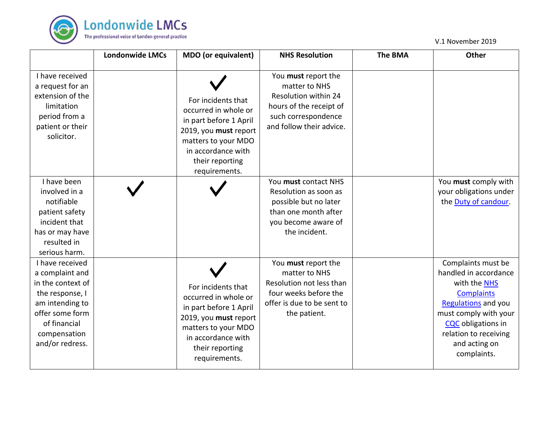

|                                                                                                                                                                     | <b>Londonwide LMCs</b> | <b>MDO</b> (or equivalent)                                                                                                                                                     | <b>NHS Resolution</b>                                                                                                                      | <b>The BMA</b> | <b>Other</b>                                                                                                                                                                                                                  |
|---------------------------------------------------------------------------------------------------------------------------------------------------------------------|------------------------|--------------------------------------------------------------------------------------------------------------------------------------------------------------------------------|--------------------------------------------------------------------------------------------------------------------------------------------|----------------|-------------------------------------------------------------------------------------------------------------------------------------------------------------------------------------------------------------------------------|
| I have received<br>a request for an<br>extension of the<br>limitation<br>period from a<br>patient or their<br>solicitor.                                            |                        | For incidents that<br>occurred in whole or<br>in part before 1 April<br>2019, you must report<br>matters to your MDO<br>in accordance with<br>their reporting<br>requirements. | You must report the<br>matter to NHS<br>Resolution within 24<br>hours of the receipt of<br>such correspondence<br>and follow their advice. |                |                                                                                                                                                                                                                               |
| I have been<br>involved in a<br>notifiable<br>patient safety<br>incident that<br>has or may have<br>resulted in<br>serious harm.                                    |                        |                                                                                                                                                                                | You must contact NHS<br>Resolution as soon as<br>possible but no later<br>than one month after<br>you become aware of<br>the incident.     |                | You must comply with<br>your obligations under<br>the Duty of candour.                                                                                                                                                        |
| I have received<br>a complaint and<br>in the context of<br>the response, I<br>am intending to<br>offer some form<br>of financial<br>compensation<br>and/or redress. |                        | For incidents that<br>occurred in whole or<br>in part before 1 April<br>2019, you must report<br>matters to your MDO<br>in accordance with<br>their reporting<br>requirements. | You must report the<br>matter to NHS<br>Resolution not less than<br>four weeks before the<br>offer is due to be sent to<br>the patient.    |                | Complaints must be<br>handled in accordance<br>with the NHS<br><b>Complaints</b><br><b>Regulations</b> and you<br>must comply with your<br><b>CQC</b> obligations in<br>relation to receiving<br>and acting on<br>complaints. |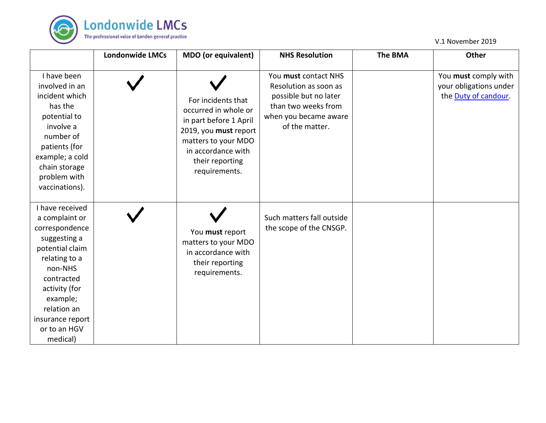

|                                                                                                                                                                                                                              | <b>Londonwide LMCs</b> | MDO (or equivalent)                                                                                                                                                            | <b>NHS Resolution</b>                                                                                                                    | <b>The BMA</b> | <b>Other</b>                                                           |
|------------------------------------------------------------------------------------------------------------------------------------------------------------------------------------------------------------------------------|------------------------|--------------------------------------------------------------------------------------------------------------------------------------------------------------------------------|------------------------------------------------------------------------------------------------------------------------------------------|----------------|------------------------------------------------------------------------|
| I have been<br>involved in an<br>incident which<br>has the<br>potential to<br>involve a<br>number of<br>patients (for<br>example; a cold<br>chain storage<br>problem with<br>vaccinations).                                  |                        | For incidents that<br>occurred in whole or<br>in part before 1 April<br>2019, you must report<br>matters to your MDO<br>in accordance with<br>their reporting<br>requirements. | You must contact NHS<br>Resolution as soon as<br>possible but no later<br>than two weeks from<br>when you became aware<br>of the matter. |                | You must comply with<br>your obligations under<br>the Duty of candour. |
| I have received<br>a complaint or<br>correspondence<br>suggesting a<br>potential claim<br>relating to a<br>non-NHS<br>contracted<br>activity (for<br>example;<br>relation an<br>insurance report<br>or to an HGV<br>medical) |                        | You must report<br>matters to your MDO<br>in accordance with<br>their reporting<br>requirements.                                                                               | Such matters fall outside<br>the scope of the CNSGP.                                                                                     |                |                                                                        |